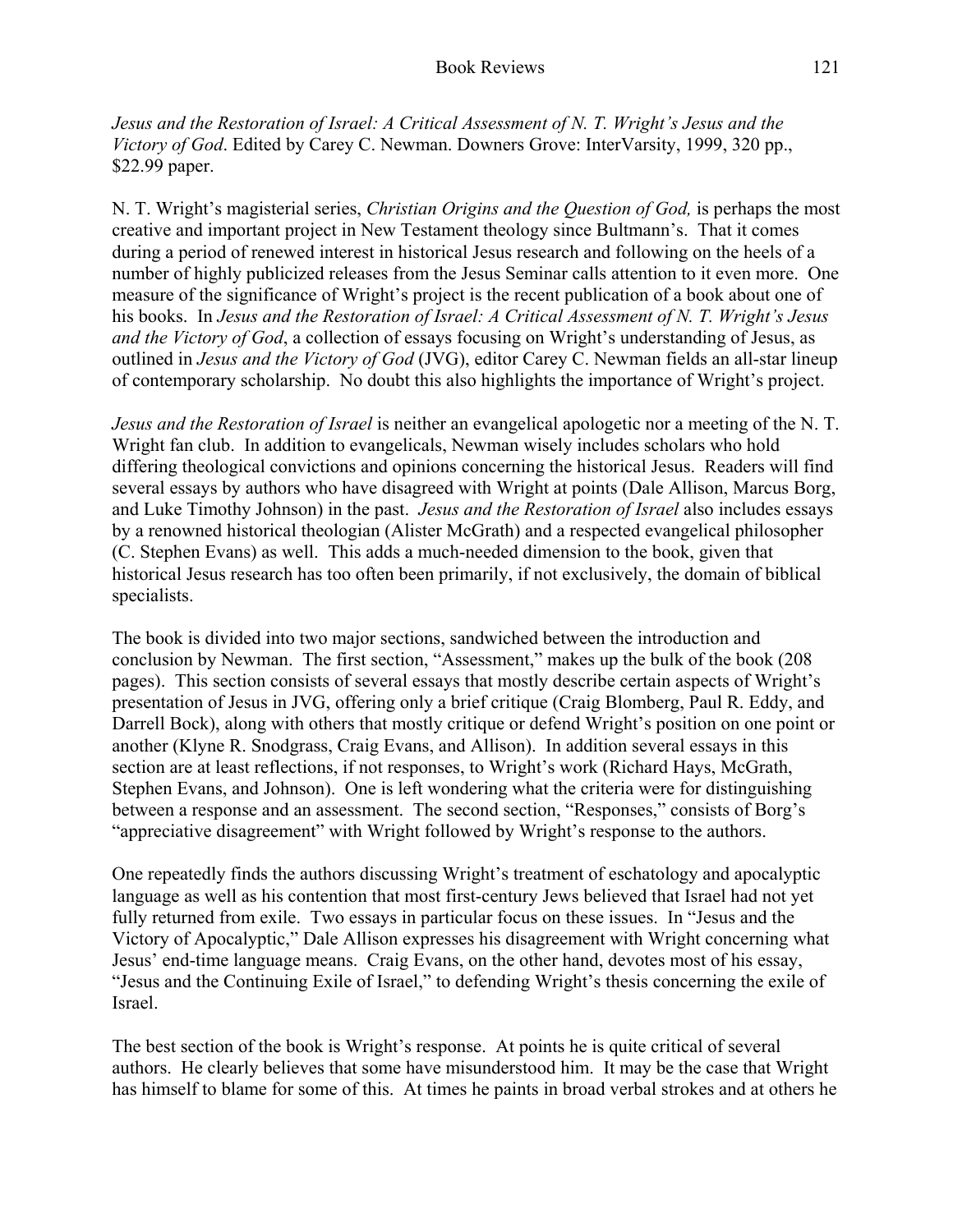*Jesus and the Restoration of Israel: A Critical Assessment of N. T. Wright's Jesus and the Victory of God*. Edited by Carey C. Newman. Downers Grove: InterVarsity, 1999, 320 pp., \$22.99 paper.

N. T. Wright's magisterial series, *Christian Origins and the Question of God,* is perhaps the most creative and important project in New Testament theology since Bultmann's. That it comes during a period of renewed interest in historical Jesus research and following on the heels of a number of highly publicized releases from the Jesus Seminar calls attention to it even more. One measure of the significance of Wright's project is the recent publication of a book about one of his books. In *Jesus and the Restoration of Israel: A Critical Assessment of N. T. Wright's Jesus and the Victory of God*, a collection of essays focusing on Wright's understanding of Jesus, as outlined in *Jesus and the Victory of God* (JVG), editor Carey C. Newman fields an all-star lineup of contemporary scholarship. No doubt this also highlights the importance of Wright's project.

*Jesus and the Restoration of Israel* is neither an evangelical apologetic nor a meeting of the N. T. Wright fan club. In addition to evangelicals, Newman wisely includes scholars who hold differing theological convictions and opinions concerning the historical Jesus. Readers will find several essays by authors who have disagreed with Wright at points (Dale Allison, Marcus Borg, and Luke Timothy Johnson) in the past. *Jesus and the Restoration of Israel* also includes essays by a renowned historical theologian (Alister McGrath) and a respected evangelical philosopher (C. Stephen Evans) as well. This adds a much-needed dimension to the book, given that historical Jesus research has too often been primarily, if not exclusively, the domain of biblical specialists.

The book is divided into two major sections, sandwiched between the introduction and conclusion by Newman. The first section, "Assessment," makes up the bulk of the book (208 pages). This section consists of several essays that mostly describe certain aspects of Wright's presentation of Jesus in JVG, offering only a brief critique (Craig Blomberg, Paul R. Eddy, and Darrell Bock), along with others that mostly critique or defend Wright's position on one point or another (Klyne R. Snodgrass, Craig Evans, and Allison). In addition several essays in this section are at least reflections, if not responses, to Wright's work (Richard Hays, McGrath, Stephen Evans, and Johnson). One is left wondering what the criteria were for distinguishing between a response and an assessment. The second section, "Responses," consists of Borg's "appreciative disagreement" with Wright followed by Wright's response to the authors.

One repeatedly finds the authors discussing Wright's treatment of eschatology and apocalyptic language as well as his contention that most first-century Jews believed that Israel had not yet fully returned from exile. Two essays in particular focus on these issues. In "Jesus and the Victory of Apocalyptic," Dale Allison expresses his disagreement with Wright concerning what Jesus' end-time language means. Craig Evans, on the other hand, devotes most of his essay, "Jesus and the Continuing Exile of Israel," to defending Wright's thesis concerning the exile of Israel.

The best section of the book is Wright's response. At points he is quite critical of several authors. He clearly believes that some have misunderstood him. It may be the case that Wright has himself to blame for some of this. At times he paints in broad verbal strokes and at others he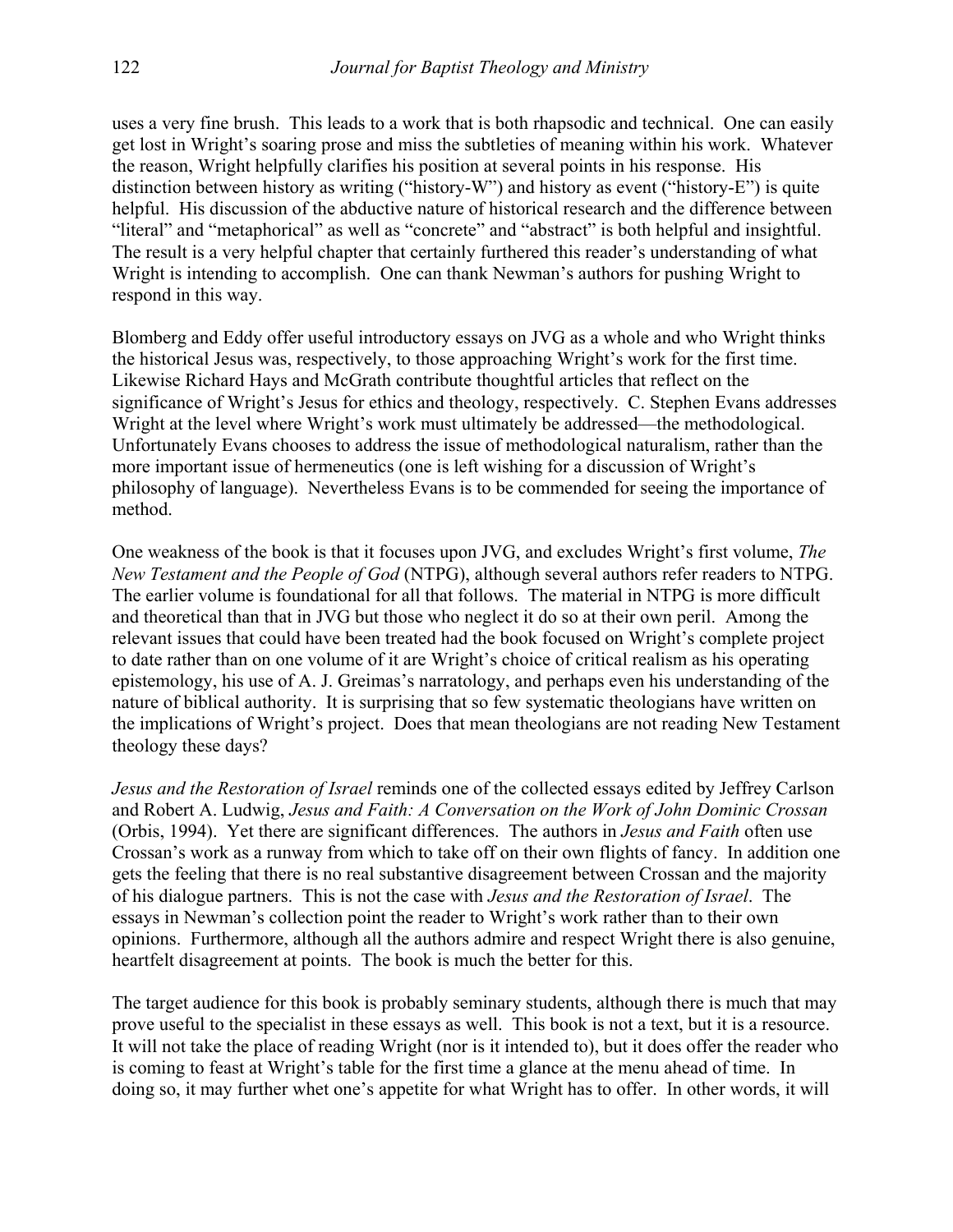uses a very fine brush. This leads to a work that is both rhapsodic and technical. One can easily get lost in Wright's soaring prose and miss the subtleties of meaning within his work. Whatever the reason, Wright helpfully clarifies his position at several points in his response. His distinction between history as writing ("history-W") and history as event ("history-E") is quite helpful. His discussion of the abductive nature of historical research and the difference between "literal" and "metaphorical" as well as "concrete" and "abstract" is both helpful and insightful. The result is a very helpful chapter that certainly furthered this reader's understanding of what Wright is intending to accomplish. One can thank Newman's authors for pushing Wright to respond in this way.

Blomberg and Eddy offer useful introductory essays on JVG as a whole and who Wright thinks the historical Jesus was, respectively, to those approaching Wright's work for the first time. Likewise Richard Hays and McGrath contribute thoughtful articles that reflect on the significance of Wright's Jesus for ethics and theology, respectively. C. Stephen Evans addresses Wright at the level where Wright's work must ultimately be addressed—the methodological. Unfortunately Evans chooses to address the issue of methodological naturalism, rather than the more important issue of hermeneutics (one is left wishing for a discussion of Wright's philosophy of language). Nevertheless Evans is to be commended for seeing the importance of method.

One weakness of the book is that it focuses upon JVG, and excludes Wright's first volume, *The New Testament and the People of God* (NTPG), although several authors refer readers to NTPG. The earlier volume is foundational for all that follows. The material in NTPG is more difficult and theoretical than that in JVG but those who neglect it do so at their own peril. Among the relevant issues that could have been treated had the book focused on Wright's complete project to date rather than on one volume of it are Wright's choice of critical realism as his operating epistemology, his use of A. J. Greimas's narratology, and perhaps even his understanding of the nature of biblical authority. It is surprising that so few systematic theologians have written on the implications of Wright's project. Does that mean theologians are not reading New Testament theology these days?

*Jesus and the Restoration of Israel* reminds one of the collected essays edited by Jeffrey Carlson and Robert A. Ludwig, *Jesus and Faith: A Conversation on the Work of John Dominic Crossan* (Orbis, 1994). Yet there are significant differences. The authors in *Jesus and Faith* often use Crossan's work as a runway from which to take off on their own flights of fancy. In addition one gets the feeling that there is no real substantive disagreement between Crossan and the majority of his dialogue partners. This is not the case with *Jesus and the Restoration of Israel*. The essays in Newman's collection point the reader to Wright's work rather than to their own opinions. Furthermore, although all the authors admire and respect Wright there is also genuine, heartfelt disagreement at points. The book is much the better for this.

The target audience for this book is probably seminary students, although there is much that may prove useful to the specialist in these essays as well. This book is not a text, but it is a resource. It will not take the place of reading Wright (nor is it intended to), but it does offer the reader who is coming to feast at Wright's table for the first time a glance at the menu ahead of time. In doing so, it may further whet one's appetite for what Wright has to offer. In other words, it will